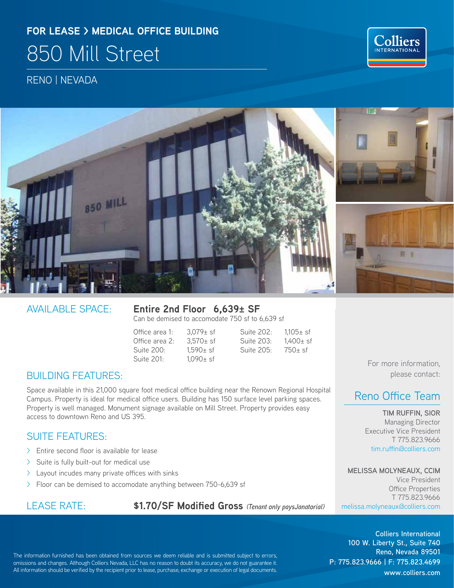# **FOR LEASE > MEDICAL OFFICE BUILDING** 850 Mill Street

RENO | NEVADA



AVAILABLE SPACE: **Entire 2nd Floor 6,639± SF** Can be demised to accomodate 750 sf to 6,639 sf

Office area 1:  $3,079\pm$  sf Suite 202:  $1,105\pm$  sf Suite 203:  $1,400\pm$  sf Office area 2:  $3.570 \pm s$  Suite 203:  $1.400 \pm s$  f Suite 200: 1,590± sf Suite 205: 750± sf Suite 201: 1,090± sf

BUILDING FEATURES:

Space available in this 21,000 square foot medical office building near the Renown Regional Hospital Campus. Property is ideal for medical office users. Building has 150 surface level parking spaces. Property is well managed. Monument signage available on Mill Street. Property provides easy access to downtown Reno and US 395.

#### SUITE FEATURES:

- > Entire second floor is available for lease
- > Suite is fully built-out for medical use
- > Layout incudes many private offices with sinks
- > Floor can be demised to accomodate anything between 750-6,639 sf

LEASE RATE: **\$1.70/SF Modified Gross** *(Tenant only paysJanatorial)*

For more information, please contact:

**Colliers** INTERNATIONAL

### Reno Office Team

**TIM RUFFIN, SIOR** Managing Director Executive Vice President T 775.823.9666 tim.ruffin@colliers.com

**MELISSA MOLYNEAUX, CCIM** Vice President Office Properties T 775.823.9666 melissa.molyneaux@colliers.com

The information furnished has been obtained from sources we deem reliable and is submitted subject to errors, omissions and changes. Although Colliers Nevada, LLC has no reason to doubt its accuracy, we do not guarantee it. All information should be verified by the recipient prior to lease, purchase, exchange or execution of legal documents.

**Colliers International 100 W. Liberty St., Suite 740 Reno, Nevada 89501 P: 775.823.9666 | F: 775.823.4699 www.colliers.com**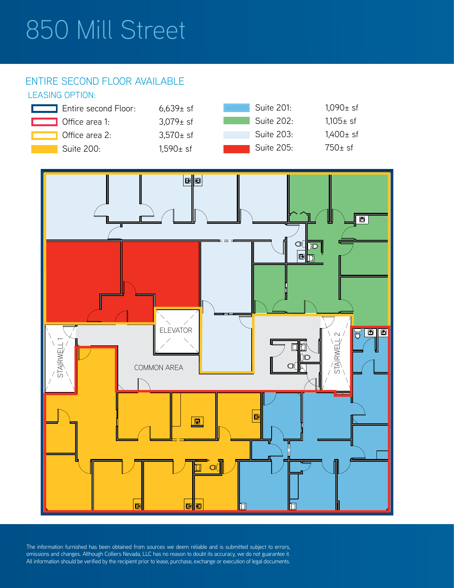# 850 Mill Street

#### ENTIRE SECOND FLOOR AVAILABLE

#### LEASING OPTION:





The information furnished has been obtained from sources we deem reliable and is submitted subject to errors, omissions and changes. Although Colliers Nevada, LLC has no reason to doubt its accuracy, we do not guarantee it.<br>All information should be verified by the recipient prior to lease, purchase, exchange or execution of legal